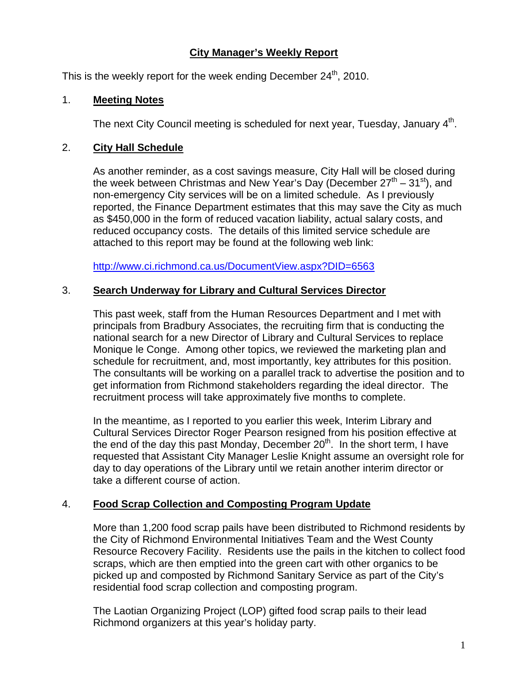# **City Manager's Weekly Report**

This is the weekly report for the week ending December  $24<sup>th</sup>$ , 2010.

## 1. **Meeting Notes**

The next City Council meeting is scheduled for next year, Tuesday, January  $4<sup>th</sup>$ .

## 2. **City Hall Schedule**

As another reminder, as a cost savings measure, City Hall will be closed during the week between Christmas and New Year's Day (December  $27<sup>th</sup> - 31<sup>st</sup>$ ), and non-emergency City services will be on a limited schedule. As I previously reported, the Finance Department estimates that this may save the City as much as \$450,000 in the form of reduced vacation liability, actual salary costs, and reduced occupancy costs. The details of this limited service schedule are attached to this report may be found at the following web link:

<http://www.ci.richmond.ca.us/DocumentView.aspx?DID=6563>

## 3. **Search Underway for Library and Cultural Services Director**

This past week, staff from the Human Resources Department and I met with principals from Bradbury Associates, the recruiting firm that is conducting the national search for a new Director of Library and Cultural Services to replace Monique le Conge. Among other topics, we reviewed the marketing plan and schedule for recruitment, and, most importantly, key attributes for this position. The consultants will be working on a parallel track to advertise the position and to get information from Richmond stakeholders regarding the ideal director. The recruitment process will take approximately five months to complete.

In the meantime, as I reported to you earlier this week, Interim Library and Cultural Services Director Roger Pearson resigned from his position effective at the end of the day this past Monday, December  $20<sup>th</sup>$ . In the short term, I have requested that Assistant City Manager Leslie Knight assume an oversight role for day to day operations of the Library until we retain another interim director or take a different course of action.

# 4. **Food Scrap Collection and Composting Program Update**

More than 1,200 food scrap pails have been distributed to Richmond residents by the City of Richmond Environmental Initiatives Team and the West County Resource Recovery Facility. Residents use the pails in the kitchen to collect food scraps, which are then emptied into the green cart with other organics to be picked up and composted by Richmond Sanitary Service as part of the City's residential food scrap collection and composting program.

The Laotian Organizing Project (LOP) gifted food scrap pails to their lead Richmond organizers at this year's holiday party.